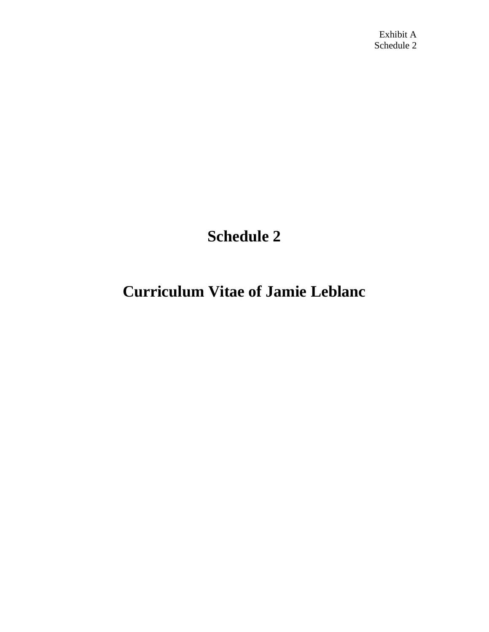## **Schedule 2**

## **Curriculum Vitae of Jamie Leblanc**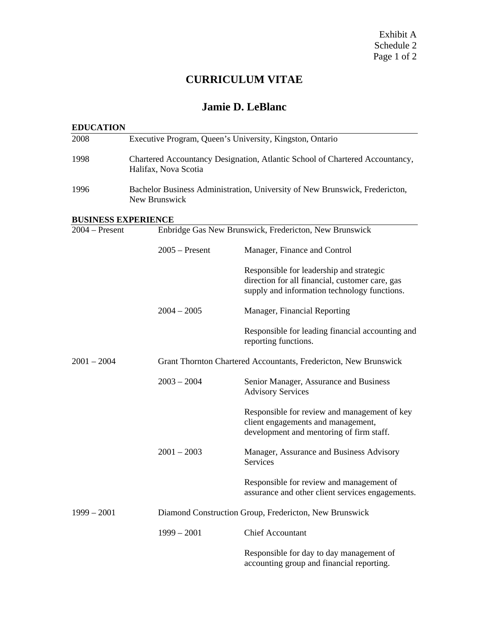### **CURRICULUM VITAE**

#### **Jamie D. LeBlanc**

| <b>EDUCATION</b>           |                                                                                                      |                                                                                                                                             |  |
|----------------------------|------------------------------------------------------------------------------------------------------|---------------------------------------------------------------------------------------------------------------------------------------------|--|
| 2008                       | Executive Program, Queen's University, Kingston, Ontario                                             |                                                                                                                                             |  |
| 1998                       | Chartered Accountancy Designation, Atlantic School of Chartered Accountancy,<br>Halifax, Nova Scotia |                                                                                                                                             |  |
| 1996                       | Bachelor Business Administration, University of New Brunswick, Fredericton,<br>New Brunswick         |                                                                                                                                             |  |
| <b>BUSINESS EXPERIENCE</b> |                                                                                                      |                                                                                                                                             |  |
| $2004 - Present$           | Enbridge Gas New Brunswick, Fredericton, New Brunswick                                               |                                                                                                                                             |  |
|                            | $2005$ – Present                                                                                     | Manager, Finance and Control                                                                                                                |  |
|                            |                                                                                                      | Responsible for leadership and strategic<br>direction for all financial, customer care, gas<br>supply and information technology functions. |  |
|                            | $2004 - 2005$                                                                                        | Manager, Financial Reporting                                                                                                                |  |
|                            |                                                                                                      | Responsible for leading financial accounting and<br>reporting functions.                                                                    |  |
| $2001 - 2004$              |                                                                                                      | Grant Thornton Chartered Accountants, Fredericton, New Brunswick                                                                            |  |
|                            | $2003 - 2004$                                                                                        | Senior Manager, Assurance and Business<br><b>Advisory Services</b>                                                                          |  |
|                            |                                                                                                      | Responsible for review and management of key<br>client engagements and management,<br>development and mentoring of firm staff.              |  |
|                            | $2001 - 2003$                                                                                        | Manager, Assurance and Business Advisory<br>Services                                                                                        |  |
|                            |                                                                                                      | Responsible for review and management of<br>assurance and other client services engagements.                                                |  |
| $1999 - 2001$              | Diamond Construction Group, Fredericton, New Brunswick                                               |                                                                                                                                             |  |
|                            | $1999 - 2001$                                                                                        | <b>Chief Accountant</b>                                                                                                                     |  |
|                            |                                                                                                      | Responsible for day to day management of<br>accounting group and financial reporting.                                                       |  |